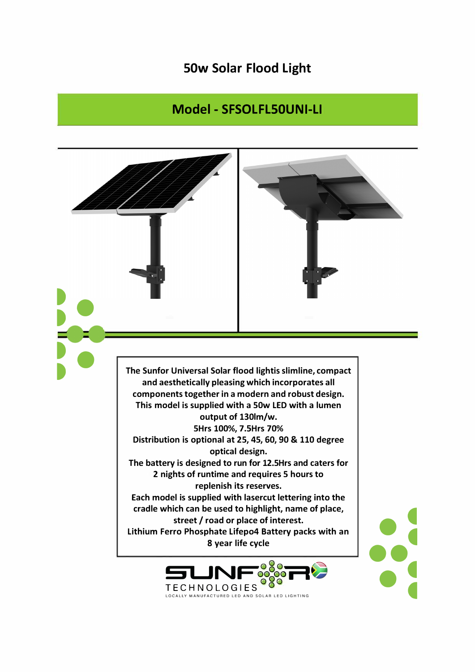## **50w Solar Flood Light**

## Model - SFSOLFL50UNI-LI